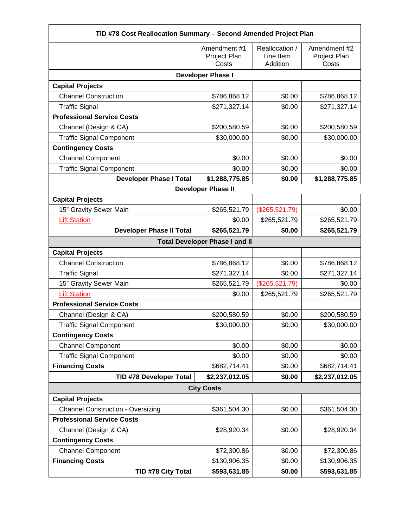| TID #78 Cost Reallocation Summary - Second Amended Project Plan |                                       |                                         |                                       |  |
|-----------------------------------------------------------------|---------------------------------------|-----------------------------------------|---------------------------------------|--|
|                                                                 | Amendment #1<br>Project Plan<br>Costs | Reallocation /<br>Line Item<br>Addition | Amendment #2<br>Project Plan<br>Costs |  |
| <b>Developer Phase I</b>                                        |                                       |                                         |                                       |  |
| <b>Capital Projects</b>                                         |                                       |                                         |                                       |  |
| <b>Channel Construction</b>                                     | \$786,868.12                          | \$0.00                                  | \$786,868.12                          |  |
| <b>Traffic Signal</b>                                           | \$271,327.14                          | \$0.00                                  | \$271,327.14                          |  |
| <b>Professional Service Costs</b>                               |                                       |                                         |                                       |  |
| Channel (Design & CA)                                           | \$200,580.59                          | \$0.00                                  | \$200,580.59                          |  |
| <b>Traffic Signal Component</b>                                 | \$30,000.00                           | \$0.00                                  | \$30,000.00                           |  |
| <b>Contingency Costs</b>                                        |                                       |                                         |                                       |  |
| <b>Channel Component</b>                                        | \$0.00                                | \$0.00                                  | \$0.00                                |  |
| <b>Traffic Signal Component</b>                                 | \$0.00                                | \$0.00                                  | \$0.00                                |  |
| <b>Developer Phase I Total</b>                                  | \$1,288,775.85                        | \$0.00                                  | \$1,288,775.85                        |  |
|                                                                 | <b>Developer Phase II</b>             |                                         |                                       |  |
| <b>Capital Projects</b>                                         |                                       |                                         |                                       |  |
| 15" Gravity Sewer Main                                          | \$265,521.79                          | (\$265,521.79)                          | \$0.00                                |  |
| <b>Lift Station</b>                                             | \$0.00                                | \$265,521.79                            | \$265,521.79                          |  |
| <b>Developer Phase II Total</b>                                 | \$265,521.79                          | \$0.00                                  | \$265,521.79                          |  |
| <b>Total Developer Phase I and II</b>                           |                                       |                                         |                                       |  |
| <b>Capital Projects</b>                                         |                                       |                                         |                                       |  |
| <b>Channel Construction</b>                                     | \$786,868.12                          | \$0.00                                  | \$786,868.12                          |  |
| <b>Traffic Signal</b>                                           | \$271,327.14                          | \$0.00                                  | \$271,327.14                          |  |
| 15" Gravity Sewer Main                                          | \$265,521.79                          | (\$265,521.79)                          | \$0.00                                |  |
| <b>Lift Station</b>                                             | \$0.00                                | \$265,521.79                            | \$265,521.79                          |  |
| <b>Professional Service Costs</b>                               |                                       |                                         |                                       |  |
| Channel (Design & CA)                                           | \$200,580.59                          | \$0.00                                  | \$200,580.59                          |  |
| <b>Traffic Signal Component</b>                                 | \$30,000.00                           | \$0.00                                  | \$30,000.00                           |  |
| <b>Contingency Costs</b>                                        |                                       |                                         |                                       |  |
| <b>Channel Component</b>                                        | \$0.00                                | \$0.00                                  | \$0.00                                |  |
| <b>Traffic Signal Component</b>                                 | \$0.00                                | \$0.00                                  | \$0.00                                |  |
| <b>Financing Costs</b>                                          | \$682,714.41                          | \$0.00                                  | \$682,714.41                          |  |
| <b>TID #78 Developer Total</b>                                  | \$2,237,012.05                        | \$0.00                                  | \$2,237,012.05                        |  |
| <b>City Costs</b>                                               |                                       |                                         |                                       |  |
| <b>Capital Projects</b>                                         |                                       |                                         |                                       |  |
| <b>Channel Construction - Oversizing</b>                        | \$361,504.30                          | \$0.00                                  | \$361,504.30                          |  |
| <b>Professional Service Costs</b>                               |                                       |                                         |                                       |  |
| Channel (Design & CA)                                           | \$28,920.34                           | \$0.00                                  | \$28,920.34                           |  |
| <b>Contingency Costs</b>                                        |                                       |                                         |                                       |  |
| <b>Channel Component</b>                                        | \$72,300.86                           | \$0.00                                  | \$72,300.86                           |  |
| <b>Financing Costs</b>                                          | \$130,906.35                          | \$0.00                                  | \$130,906.35                          |  |
| TID #78 City Total                                              | \$593,631.85                          | \$0.00                                  | \$593,631.85                          |  |

г